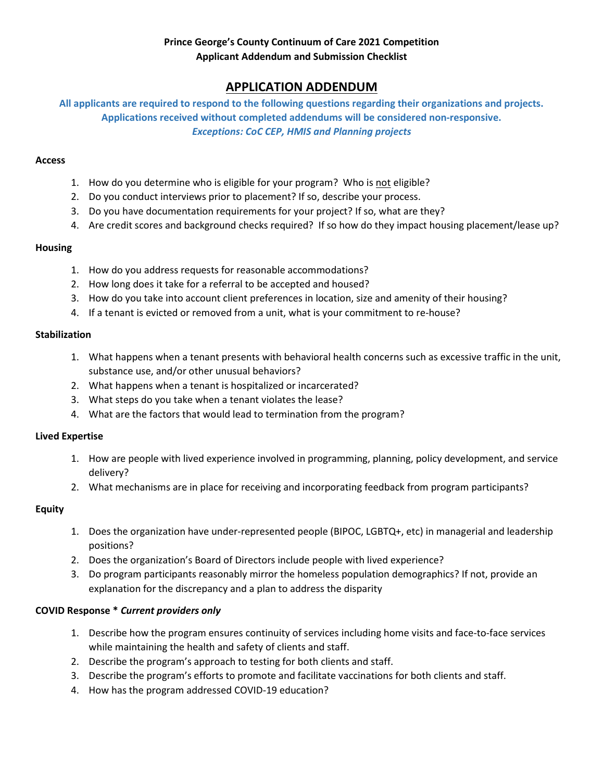## Prince George's County Continuum of Care 2021 Competition Applicant Addendum and Submission Checklist

# APPLICATION ADDENDUM

All applicants are required to respond to the following questions regarding their organizations and projects. Applications received without completed addendums will be considered non-responsive. Exceptions: CoC CEP, HMIS and Planning projects

#### Access

- 1. How do you determine who is eligible for your program? Who is not eligible?
- 2. Do you conduct interviews prior to placement? If so, describe your process.
- 3. Do you have documentation requirements for your project? If so, what are they?
- 4. Are credit scores and background checks required? If so how do they impact housing placement/lease up?

#### Housing

- 1. How do you address requests for reasonable accommodations?
- 2. How long does it take for a referral to be accepted and housed?
- 3. How do you take into account client preferences in location, size and amenity of their housing?
- 4. If a tenant is evicted or removed from a unit, what is your commitment to re-house?

#### **Stabilization**

- 1. What happens when a tenant presents with behavioral health concerns such as excessive traffic in the unit, substance use, and/or other unusual behaviors?
- 2. What happens when a tenant is hospitalized or incarcerated?
- 3. What steps do you take when a tenant violates the lease?
- 4. What are the factors that would lead to termination from the program?

#### Lived Expertise

- 1. How are people with lived experience involved in programming, planning, policy development, and service delivery?
- 2. What mechanisms are in place for receiving and incorporating feedback from program participants?

#### Equity

- 1. Does the organization have under-represented people (BIPOC, LGBTQ+, etc) in managerial and leadership positions?
- 2. Does the organization's Board of Directors include people with lived experience?
- 3. Do program participants reasonably mirror the homeless population demographics? If not, provide an explanation for the discrepancy and a plan to address the disparity

#### COVID Response \* Current providers only

- 1. Describe how the program ensures continuity of services including home visits and face-to-face services while maintaining the health and safety of clients and staff.
- 2. Describe the program's approach to testing for both clients and staff.
- 3. Describe the program's efforts to promote and facilitate vaccinations for both clients and staff.
- 4. How has the program addressed COVID-19 education?